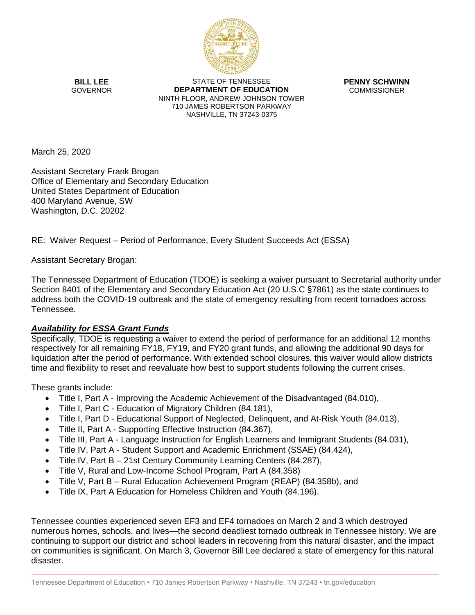

**BILL LEE** GOVERNOR

STATE OF TENNESSEE **DEPARTMENT OF EDUCATION** NINTH FLOOR, ANDREW JOHNSON TOWER 710 JAMES ROBERTSON PARKWAY NASHVILLE, TN 37243-0375

**PENNY SCHWINN** COMMISSIONER

March 25, 2020

Assistant Secretary Frank Brogan Office of Elementary and Secondary Education United States Department of Education 400 Maryland Avenue, SW Washington, D.C. 20202

RE: Waiver Request – Period of Performance, Every Student Succeeds Act (ESSA)

Assistant Secretary Brogan:

The Tennessee Department of Education (TDOE) is seeking a waiver pursuant to Secretarial authority under Section 8401 of the Elementary and Secondary Education Act (20 U.S.C §7861) as the state continues to address both the COVID-19 outbreak and the state of emergency resulting from recent tornadoes across Tennessee.

## *Availability for ESSA Grant Funds*

Specifically, TDOE is requesting a waiver to extend the period of performance for an additional 12 months respectively for all remaining FY18, FY19, and FY20 grant funds, and allowing the additional 90 days for liquidation after the period of performance. With extended school closures, this waiver would allow districts time and flexibility to reset and reevaluate how best to support students following the current crises.

These grants include:

- Title I, Part A Improving the Academic Achievement of the Disadvantaged (84.010),
- Title I, Part C Education of Migratory Children (84.181),
- Title I, Part D Educational Support of Neglected, Delinquent, and At-Risk Youth (84.013),
- Title II, Part A Supporting Effective Instruction (84.367),
- Title III, Part A Language Instruction for English Learners and Immigrant Students (84.031),
- Title IV, Part A Student Support and Academic Enrichment (SSAE) (84.424),
- Title IV, Part B 21st Century Community Learning Centers (84.287),
- Title V, Rural and Low-Income School Program, Part A (84.358)
- Title V, Part B Rural Education Achievement Program (REAP) (84.358b), and
- Title IX, Part A Education for Homeless Children and Youth (84.196).

Tennessee counties experienced seven EF3 and EF4 tornadoes on March 2 and 3 which destroyed numerous homes, schools, and lives—the second deadliest tornado outbreak in Tennessee history. We are continuing to support our district and school leaders in recovering from this natural disaster, and the impact on communities is significant. On March 3, Governor Bill Lee declared a state of emergency for this natural disaster.